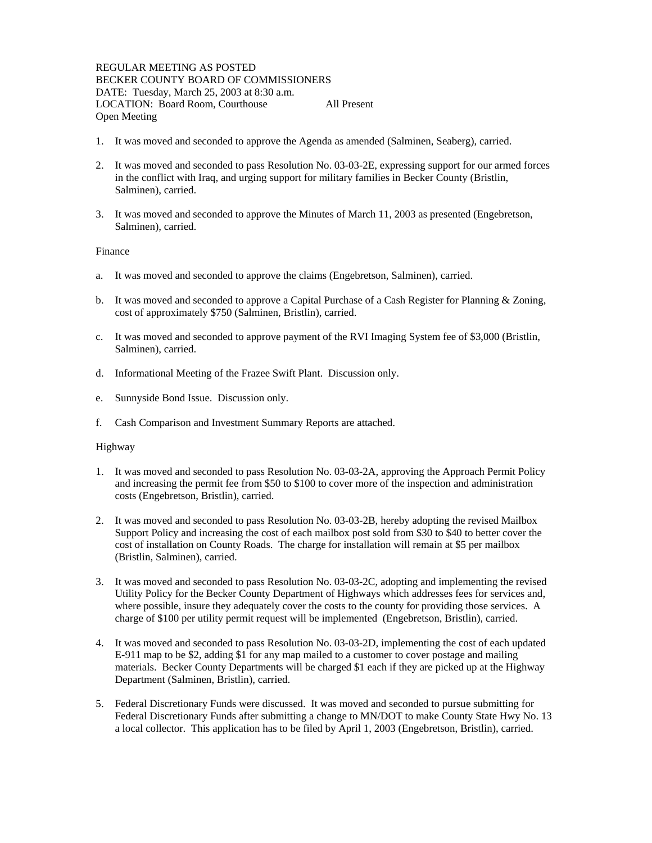REGULAR MEETING AS POSTED BECKER COUNTY BOARD OF COMMISSIONERS DATE: Tuesday, March 25, 2003 at 8:30 a.m. LOCATION: Board Room, Courthouse All Present Open Meeting

- 1. It was moved and seconded to approve the Agenda as amended (Salminen, Seaberg), carried.
- 2. It was moved and seconded to pass Resolution No. 03-03-2E, expressing support for our armed forces in the conflict with Iraq, and urging support for military families in Becker County (Bristlin, Salminen), carried.
- 3. It was moved and seconded to approve the Minutes of March 11, 2003 as presented (Engebretson, Salminen), carried.

## Finance

- a. It was moved and seconded to approve the claims (Engebretson, Salminen), carried.
- b. It was moved and seconded to approve a Capital Purchase of a Cash Register for Planning & Zoning, cost of approximately \$750 (Salminen, Bristlin), carried.
- c. It was moved and seconded to approve payment of the RVI Imaging System fee of \$3,000 (Bristlin, Salminen), carried.
- d. Informational Meeting of the Frazee Swift Plant. Discussion only.
- e. Sunnyside Bond Issue. Discussion only.
- f. Cash Comparison and Investment Summary Reports are attached.

### Highway

- 1. It was moved and seconded to pass Resolution No. 03-03-2A, approving the Approach Permit Policy and increasing the permit fee from \$50 to \$100 to cover more of the inspection and administration costs (Engebretson, Bristlin), carried.
- 2. It was moved and seconded to pass Resolution No. 03-03-2B, hereby adopting the revised Mailbox Support Policy and increasing the cost of each mailbox post sold from \$30 to \$40 to better cover the cost of installation on County Roads. The charge for installation will remain at \$5 per mailbox (Bristlin, Salminen), carried.
- 3. It was moved and seconded to pass Resolution No. 03-03-2C, adopting and implementing the revised Utility Policy for the Becker County Department of Highways which addresses fees for services and, where possible, insure they adequately cover the costs to the county for providing those services. A charge of \$100 per utility permit request will be implemented (Engebretson, Bristlin), carried.
- 4. It was moved and seconded to pass Resolution No. 03-03-2D, implementing the cost of each updated E-911 map to be \$2, adding \$1 for any map mailed to a customer to cover postage and mailing materials. Becker County Departments will be charged \$1 each if they are picked up at the Highway Department (Salminen, Bristlin), carried.
- 5. Federal Discretionary Funds were discussed. It was moved and seconded to pursue submitting for Federal Discretionary Funds after submitting a change to MN/DOT to make County State Hwy No. 13 a local collector. This application has to be filed by April 1, 2003 (Engebretson, Bristlin), carried.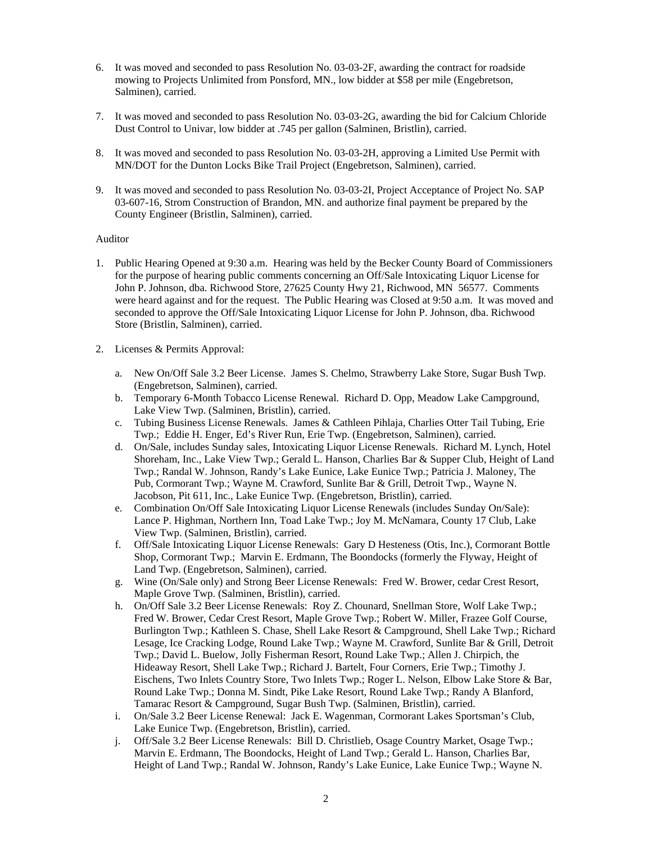- 6. It was moved and seconded to pass Resolution No. 03-03-2F, awarding the contract for roadside mowing to Projects Unlimited from Ponsford, MN., low bidder at \$58 per mile (Engebretson, Salminen), carried.
- 7. It was moved and seconded to pass Resolution No. 03-03-2G, awarding the bid for Calcium Chloride Dust Control to Univar, low bidder at .745 per gallon (Salminen, Bristlin), carried.
- 8. It was moved and seconded to pass Resolution No. 03-03-2H, approving a Limited Use Permit with MN/DOT for the Dunton Locks Bike Trail Project (Engebretson, Salminen), carried.
- 9. It was moved and seconded to pass Resolution No. 03-03-2I, Project Acceptance of Project No. SAP 03-607-16, Strom Construction of Brandon, MN. and authorize final payment be prepared by the County Engineer (Bristlin, Salminen), carried.

## Auditor

- 1. Public Hearing Opened at 9:30 a.m. Hearing was held by the Becker County Board of Commissioners for the purpose of hearing public comments concerning an Off/Sale Intoxicating Liquor License for John P. Johnson, dba. Richwood Store, 27625 County Hwy 21, Richwood, MN 56577. Comments were heard against and for the request. The Public Hearing was Closed at 9:50 a.m. It was moved and seconded to approve the Off/Sale Intoxicating Liquor License for John P. Johnson, dba. Richwood Store (Bristlin, Salminen), carried.
- 2. Licenses & Permits Approval:
	- a. New On/Off Sale 3.2 Beer License. James S. Chelmo, Strawberry Lake Store, Sugar Bush Twp. (Engebretson, Salminen), carried.
	- b. Temporary 6-Month Tobacco License Renewal. Richard D. Opp, Meadow Lake Campground, Lake View Twp. (Salminen, Bristlin), carried.
	- c. Tubing Business License Renewals. James & Cathleen Pihlaja, Charlies Otter Tail Tubing, Erie Twp.; Eddie H. Enger, Ed's River Run, Erie Twp. (Engebretson, Salminen), carried.
	- d. On/Sale, includes Sunday sales, Intoxicating Liquor License Renewals. Richard M. Lynch, Hotel Shoreham, Inc., Lake View Twp.; Gerald L. Hanson, Charlies Bar & Supper Club, Height of Land Twp.; Randal W. Johnson, Randy's Lake Eunice, Lake Eunice Twp.; Patricia J. Maloney, The Pub, Cormorant Twp.; Wayne M. Crawford, Sunlite Bar & Grill, Detroit Twp., Wayne N. Jacobson, Pit 611, Inc., Lake Eunice Twp. (Engebretson, Bristlin), carried.
	- e. Combination On/Off Sale Intoxicating Liquor License Renewals (includes Sunday On/Sale): Lance P. Highman, Northern Inn, Toad Lake Twp.; Joy M. McNamara, County 17 Club, Lake View Twp. (Salminen, Bristlin), carried.
	- f. Off/Sale Intoxicating Liquor License Renewals: Gary D Hesteness (Otis, Inc.), Cormorant Bottle Shop, Cormorant Twp.; Marvin E. Erdmann, The Boondocks (formerly the Flyway, Height of Land Twp. (Engebretson, Salminen), carried.
	- g. Wine (On/Sale only) and Strong Beer License Renewals: Fred W. Brower, cedar Crest Resort, Maple Grove Twp. (Salminen, Bristlin), carried.
	- h. On/Off Sale 3.2 Beer License Renewals: Roy Z. Chounard, Snellman Store, Wolf Lake Twp.; Fred W. Brower, Cedar Crest Resort, Maple Grove Twp.; Robert W. Miller, Frazee Golf Course, Burlington Twp.; Kathleen S. Chase, Shell Lake Resort & Campground, Shell Lake Twp.; Richard Lesage, Ice Cracking Lodge, Round Lake Twp.; Wayne M. Crawford, Sunlite Bar & Grill, Detroit Twp.; David L. Buelow, Jolly Fisherman Resort, Round Lake Twp.; Allen J. Chirpich, the Hideaway Resort, Shell Lake Twp.; Richard J. Bartelt, Four Corners, Erie Twp.; Timothy J. Eischens, Two Inlets Country Store, Two Inlets Twp.; Roger L. Nelson, Elbow Lake Store & Bar, Round Lake Twp.; Donna M. Sindt, Pike Lake Resort, Round Lake Twp.; Randy A Blanford, Tamarac Resort & Campground, Sugar Bush Twp. (Salminen, Bristlin), carried.
	- i. On/Sale 3.2 Beer License Renewal: Jack E. Wagenman, Cormorant Lakes Sportsman's Club, Lake Eunice Twp. (Engebretson, Bristlin), carried.
	- j. Off/Sale 3.2 Beer License Renewals: Bill D. Christlieb, Osage Country Market, Osage Twp.; Marvin E. Erdmann, The Boondocks, Height of Land Twp.; Gerald L. Hanson, Charlies Bar, Height of Land Twp.; Randal W. Johnson, Randy's Lake Eunice, Lake Eunice Twp.; Wayne N.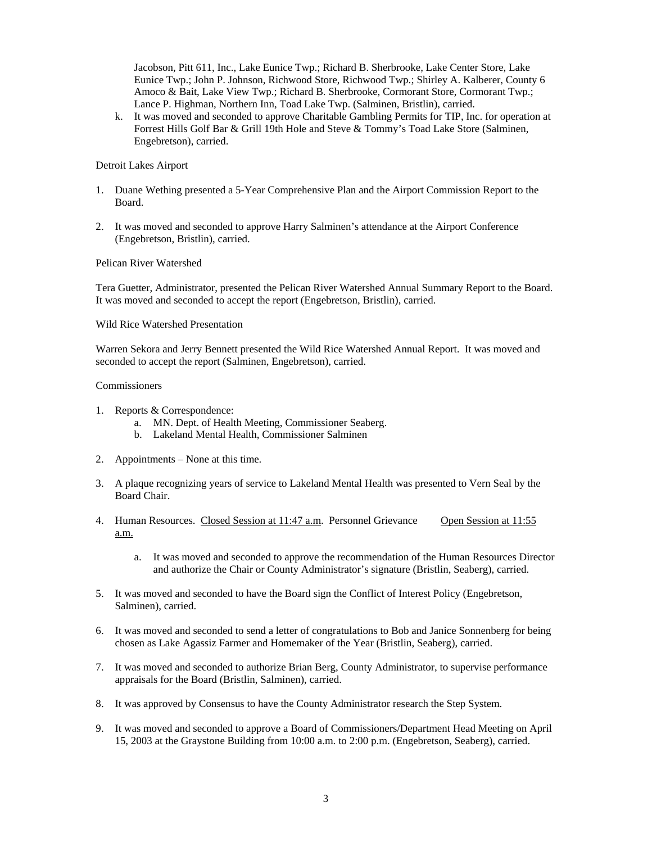Jacobson, Pitt 611, Inc., Lake Eunice Twp.; Richard B. Sherbrooke, Lake Center Store, Lake Eunice Twp.; John P. Johnson, Richwood Store, Richwood Twp.; Shirley A. Kalberer, County 6 Amoco & Bait, Lake View Twp.; Richard B. Sherbrooke, Cormorant Store, Cormorant Twp.; Lance P. Highman, Northern Inn, Toad Lake Twp. (Salminen, Bristlin), carried.

k. It was moved and seconded to approve Charitable Gambling Permits for TIP, Inc. for operation at Forrest Hills Golf Bar & Grill 19th Hole and Steve & Tommy's Toad Lake Store (Salminen, Engebretson), carried.

## Detroit Lakes Airport

- 1. Duane Wething presented a 5-Year Comprehensive Plan and the Airport Commission Report to the Board.
- 2. It was moved and seconded to approve Harry Salminen's attendance at the Airport Conference (Engebretson, Bristlin), carried.

# Pelican River Watershed

Tera Guetter, Administrator, presented the Pelican River Watershed Annual Summary Report to the Board. It was moved and seconded to accept the report (Engebretson, Bristlin), carried.

### Wild Rice Watershed Presentation

Warren Sekora and Jerry Bennett presented the Wild Rice Watershed Annual Report. It was moved and seconded to accept the report (Salminen, Engebretson), carried.

### Commissioners

- 1. Reports & Correspondence:
	- a. MN. Dept. of Health Meeting, Commissioner Seaberg.
	- b. Lakeland Mental Health, Commissioner Salminen
- 2. Appointments None at this time.
- 3. A plaque recognizing years of service to Lakeland Mental Health was presented to Vern Seal by the Board Chair.
- 4. Human Resources. Closed Session at 11:47 a.m. Personnel Grievance Open Session at 11:55 a.m.
	- a. It was moved and seconded to approve the recommendation of the Human Resources Director and authorize the Chair or County Administrator's signature (Bristlin, Seaberg), carried.
- 5. It was moved and seconded to have the Board sign the Conflict of Interest Policy (Engebretson, Salminen), carried.
- 6. It was moved and seconded to send a letter of congratulations to Bob and Janice Sonnenberg for being chosen as Lake Agassiz Farmer and Homemaker of the Year (Bristlin, Seaberg), carried.
- 7. It was moved and seconded to authorize Brian Berg, County Administrator, to supervise performance appraisals for the Board (Bristlin, Salminen), carried.
- 8. It was approved by Consensus to have the County Administrator research the Step System.
- 9. It was moved and seconded to approve a Board of Commissioners/Department Head Meeting on April 15, 2003 at the Graystone Building from 10:00 a.m. to 2:00 p.m. (Engebretson, Seaberg), carried.